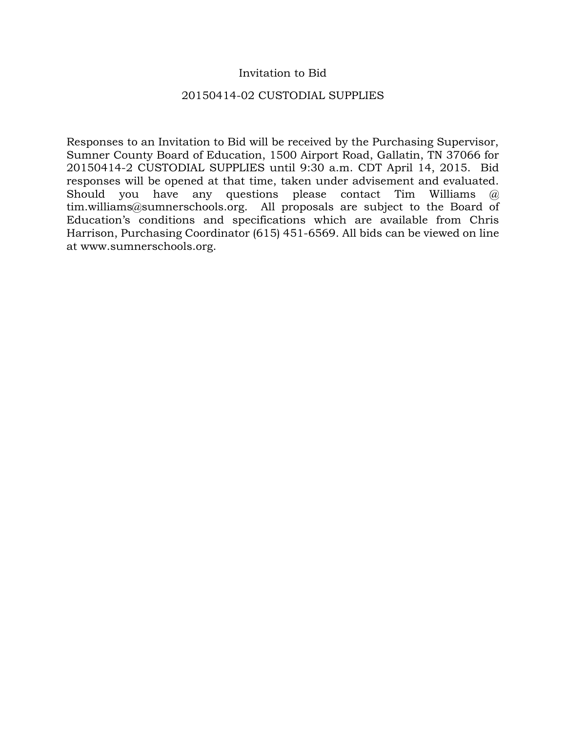### Invitation to Bid

#### 20150414-02 CUSTODIAL SUPPLIES

Responses to an Invitation to Bid will be received by the Purchasing Supervisor, Sumner County Board of Education, 1500 Airport Road, Gallatin, TN 37066 for 20150414-2 CUSTODIAL SUPPLIES until 9:30 a.m. CDT April 14, 2015. Bid responses will be opened at that time, taken under advisement and evaluated. Should you have any questions please contact Tim Williams @ tim.williams@sumnerschools.org. All proposals are subject to the Board of Education's conditions and specifications which are available from Chris Harrison, Purchasing Coordinator (615) 451-6569. All bids can be viewed on line at www.sumnerschools.org.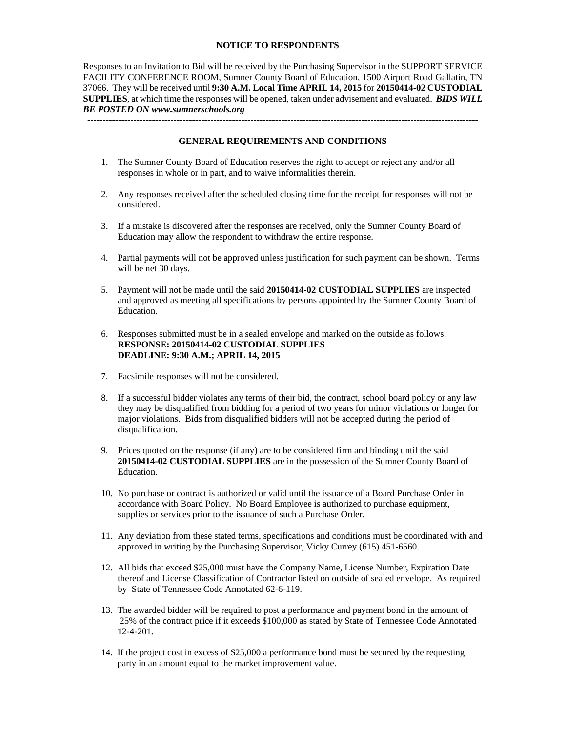#### **NOTICE TO RESPONDENTS**

Responses to an Invitation to Bid will be received by the Purchasing Supervisor in the SUPPORT SERVICE FACILITY CONFERENCE ROOM, Sumner County Board of Education, 1500 Airport Road Gallatin, TN 37066. They will be received until **9:30 A.M. Local Time APRIL 14, 2015** for **20150414-02 CUSTODIAL SUPPLIES**, at which time the responses will be opened, taken under advisement and evaluated. *BIDS WILL BE POSTED ON www.sumnerschools.org* 

**GENERAL REQUIREMENTS AND CONDITIONS** 

-------------------------------------------------------------------------------------------------------------------------------

- 1. The Sumner County Board of Education reserves the right to accept or reject any and/or all responses in whole or in part, and to waive informalities therein.
- 2. Any responses received after the scheduled closing time for the receipt for responses will not be considered.
- 3. If a mistake is discovered after the responses are received, only the Sumner County Board of Education may allow the respondent to withdraw the entire response.
- 4. Partial payments will not be approved unless justification for such payment can be shown. Terms will be net 30 days.
- 5. Payment will not be made until the said **20150414-02 CUSTODIAL SUPPLIES** are inspected and approved as meeting all specifications by persons appointed by the Sumner County Board of Education.
- 6. Responses submitted must be in a sealed envelope and marked on the outside as follows: **RESPONSE: 20150414-02 CUSTODIAL SUPPLIES DEADLINE: 9:30 A.M.; APRIL 14, 2015**
- 7. Facsimile responses will not be considered.
- 8. If a successful bidder violates any terms of their bid, the contract, school board policy or any law they may be disqualified from bidding for a period of two years for minor violations or longer for major violations. Bids from disqualified bidders will not be accepted during the period of disqualification.
- 9. Prices quoted on the response (if any) are to be considered firm and binding until the said **20150414-02 CUSTODIAL SUPPLIES** are in the possession of the Sumner County Board of Education.
- 10. No purchase or contract is authorized or valid until the issuance of a Board Purchase Order in accordance with Board Policy. No Board Employee is authorized to purchase equipment, supplies or services prior to the issuance of such a Purchase Order.
- 11. Any deviation from these stated terms, specifications and conditions must be coordinated with and approved in writing by the Purchasing Supervisor, Vicky Currey (615) 451-6560.
- 12. All bids that exceed \$25,000 must have the Company Name, License Number, Expiration Date thereof and License Classification of Contractor listed on outside of sealed envelope. As required by State of Tennessee Code Annotated 62-6-119.
- 13. The awarded bidder will be required to post a performance and payment bond in the amount of 25% of the contract price if it exceeds \$100,000 as stated by State of Tennessee Code Annotated 12-4-201.
- 14. If the project cost in excess of \$25,000 a performance bond must be secured by the requesting party in an amount equal to the market improvement value.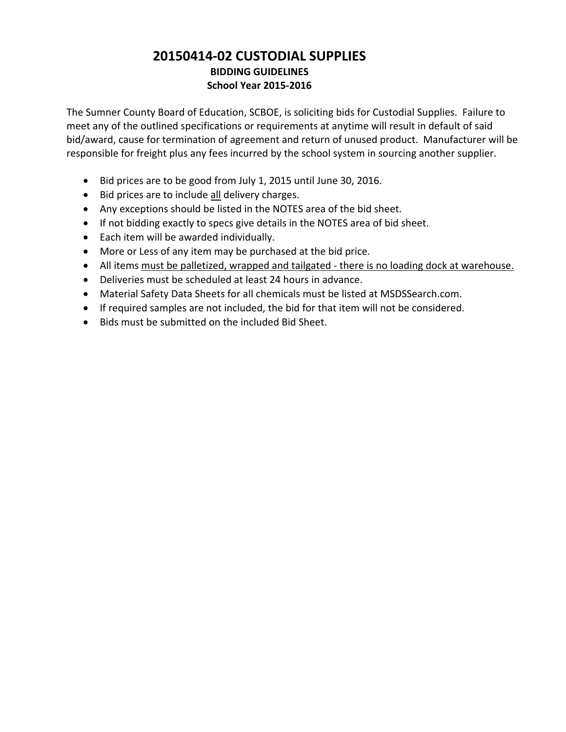## **20150414‐02 CUSTODIAL SUPPLIES BIDDING GUIDELINES School Year 2015‐2016**

The Sumner County Board of Education, SCBOE, is soliciting bids for Custodial Supplies. Failure to meet any of the outlined specifications or requirements at anytime will result in default of said bid/award, cause for termination of agreement and return of unused product. Manufacturer will be responsible for freight plus any fees incurred by the school system in sourcing another supplier.

- Bid prices are to be good from July 1, 2015 until June 30, 2016.
- Bid prices are to include all delivery charges.
- Any exceptions should be listed in the NOTES area of the bid sheet.
- If not bidding exactly to specs give details in the NOTES area of bid sheet.
- Each item will be awarded individually.
- More or Less of any item may be purchased at the bid price.
- All items must be palletized, wrapped and tailgated there is no loading dock at warehouse.
- Deliveries must be scheduled at least 24 hours in advance.
- Material Safety Data Sheets for all chemicals must be listed at MSDSSearch.com.
- If required samples are not included, the bid for that item will not be considered.
- Bids must be submitted on the included Bid Sheet.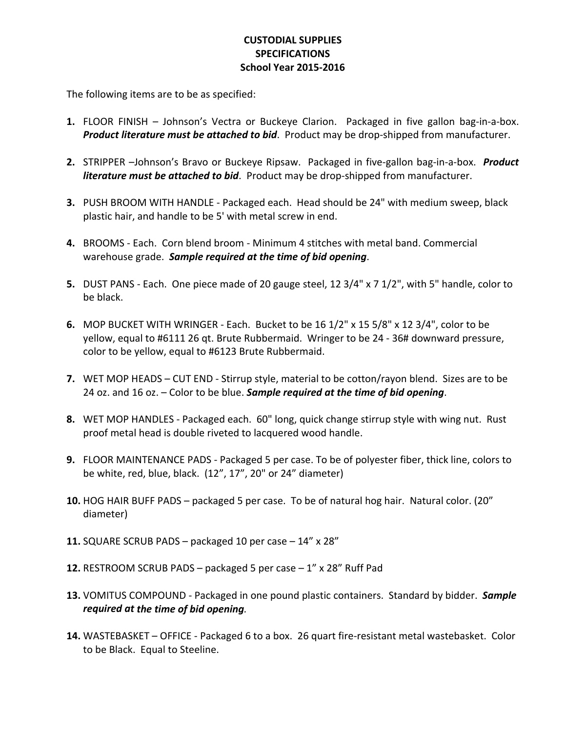## **CUSTODIAL SUPPLIES SPECIFICATIONS School Year 2015‐2016**

The following items are to be as specified:

- 1. FLOOR FINISH Johnson's Vectra or Buckeye Clarion. Packaged in five gallon bag-in-a-box. *Product literature must be attached to bid*. Product may be drop‐shipped from manufacturer.
- **2.** STRIPPER –Johnson's Bravo or Buckeye Ripsaw. Packaged in five‐gallon bag‐in‐a‐box. *Product literature must be attached to bid*. Product may be drop‐shipped from manufacturer.
- **3.** PUSH BROOM WITH HANDLE ‐ Packaged each. Head should be 24" with medium sweep, black plastic hair, and handle to be 5' with metal screw in end.
- **4.** BROOMS ‐ Each. Corn blend broom ‐ Minimum 4 stitches with metal band. Commercial warehouse grade. *Sample required at the time of bid opening*.
- **5.** DUST PANS ‐ Each. One piece made of 20 gauge steel, 12 3/4" x 7 1/2", with 5" handle, color to be black.
- **6.** MOP BUCKET WITH WRINGER ‐ Each. Bucket to be 16 1/2" x 15 5/8" x 12 3/4", color to be yellow, equal to #6111 26 qt. Brute Rubbermaid. Wringer to be 24 ‐ 36# downward pressure, color to be yellow, equal to #6123 Brute Rubbermaid.
- **7.** WET MOP HEADS CUT END Stirrup style, material to be cotton/rayon blend. Sizes are to be 24 oz. and 16 oz. – Color to be blue. *Sample required at the time of bid opening*.
- **8.** WET MOP HANDLES ‐ Packaged each. 60" long, quick change stirrup style with wing nut. Rust proof metal head is double riveted to lacquered wood handle.
- **9.** FLOOR MAINTENANCE PADS ‐ Packaged 5 per case. To be of polyester fiber, thick line, colors to be white, red, blue, black. (12", 17", 20" or 24" diameter)
- **10.** HOG HAIR BUFF PADS packaged 5 per case. To be of natural hog hair. Natural color. (20" diameter)
- **11.** SQUARE SCRUB PADS packaged 10 per case 14" x 28"
- **12.** RESTROOM SCRUB PADS packaged 5 per case 1" x 28" Ruff Pad
- **13.** VOMITUS COMPOUND ‐ Packaged in one pound plastic containers. Standard by bidder. *Sample required at the time of bid opening.*
- **14.** WASTEBASKET OFFICE ‐ Packaged 6 to a box. 26 quart fire‐resistant metal wastebasket. Color to be Black. Equal to Steeline.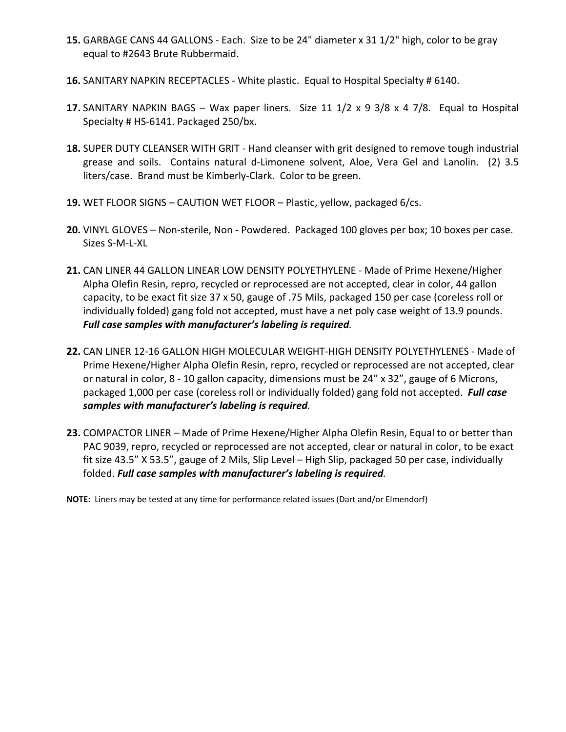- **15.** GARBAGE CANS 44 GALLONS ‐ Each. Size to be 24" diameter x 31 1/2" high, color to be gray equal to #2643 Brute Rubbermaid.
- **16.** SANITARY NAPKIN RECEPTACLES ‐ White plastic. Equal to Hospital Specialty # 6140.
- **17.** SANITARY NAPKIN BAGS Wax paper liners. Size 11 1/2 x 9 3/8 x 4 7/8. Equal to Hospital Specialty # HS-6141. Packaged 250/bx.
- **18.** SUPER DUTY CLEANSER WITH GRIT ‐ Hand cleanser with grit designed to remove tough industrial grease and soils. Contains natural d-Limonene solvent, Aloe, Vera Gel and Lanolin. (2) 3.5 liters/case. Brand must be Kimberly‐Clark. Color to be green.
- **19.** WET FLOOR SIGNS CAUTION WET FLOOR Plastic, yellow, packaged 6/cs.
- **20.** VINYL GLOVES Non‐sterile, Non ‐ Powdered. Packaged 100 gloves per box; 10 boxes per case. Sizes S‐M‐L‐XL
- **21.** CAN LINER 44 GALLON LINEAR LOW DENSITY POLYETHYLENE ‐ Made of Prime Hexene/Higher Alpha Olefin Resin, repro, recycled or reprocessed are not accepted, clear in color, 44 gallon capacity, to be exact fit size 37 x 50, gauge of .75 Mils, packaged 150 per case (coreless roll or individually folded) gang fold not accepted, must have a net poly case weight of 13.9 pounds. *Full case samples with manufacturer's labeling is required.*
- **22.** CAN LINER 12‐16 GALLON HIGH MOLECULAR WEIGHT‐HIGH DENSITY POLYETHYLENES ‐ Made of Prime Hexene/Higher Alpha Olefin Resin, repro, recycled or reprocessed are not accepted, clear or natural in color, 8 ‐ 10 gallon capacity, dimensions must be 24" x 32", gauge of 6 Microns, packaged 1,000 per case (coreless roll or individually folded) gang fold not accepted. *Full case samples with manufacturer's labeling is required.*
- **23.** COMPACTOR LINER Made of Prime Hexene/Higher Alpha Olefin Resin, Equal to or better than PAC 9039, repro, recycled or reprocessed are not accepted, clear or natural in color, to be exact fit size 43.5" X 53.5", gauge of 2 Mils, Slip Level – High Slip, packaged 50 per case, individually folded. *Full case samples with manufacturer's labeling is required.*

**NOTE:** Liners may be tested at any time for performance related issues (Dart and/or Elmendorf)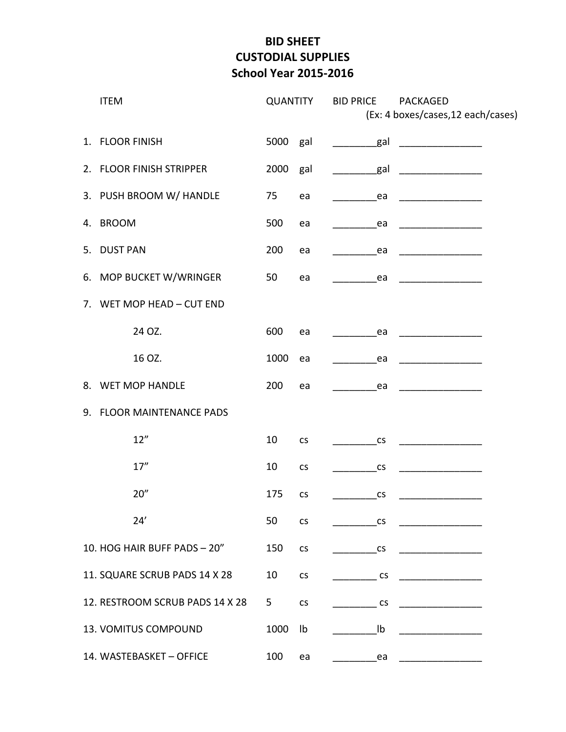# **BID SHEET CUSTODIAL SUPPLIES School Year 2015‐2016**

|             | <b>ITEM</b><br><b>QUANTITY</b>  |      |                          | <b>BID PRICE</b><br>PACKAGED<br>(Ex: 4 boxes/cases, 12 each/cases) |  |  |
|-------------|---------------------------------|------|--------------------------|--------------------------------------------------------------------|--|--|
|             | 1. FLOOR FINISH                 | 5000 | gal                      | _gal                                                               |  |  |
|             | 2. FLOOR FINISH STRIPPER        | 2000 | gal                      | _gal<br>$\overline{\phantom{a}}$                                   |  |  |
|             | 3. PUSH BROOM W/ HANDLE         | 75   | ea                       | ea                                                                 |  |  |
|             | 4. BROOM                        | 500  | ea                       | ea                                                                 |  |  |
| 5.          | <b>DUST PAN</b>                 | 200  | ea                       | ea                                                                 |  |  |
|             | 6. MOP BUCKET W/WRINGER         | 50   | ea                       | ea                                                                 |  |  |
| $7_{\cdot}$ | WET MOP HEAD - CUT END          |      |                          |                                                                    |  |  |
|             | 24 OZ.                          | 600  | ea                       | ea                                                                 |  |  |
|             | 16 OZ.                          | 1000 | ea                       | ea                                                                 |  |  |
| 8.          | <b>WET MOP HANDLE</b>           | 200  | ea                       | ea                                                                 |  |  |
| 9.          | <b>FLOOR MAINTENANCE PADS</b>   |      |                          |                                                                    |  |  |
|             | 12"                             | 10   | $\mathsf{CS}\phantom{0}$ | CS                                                                 |  |  |
|             | 17''                            | 10   | $\mathsf{CS}\phantom{0}$ | CS                                                                 |  |  |
|             | 20''                            | 175  | <b>CS</b>                | $\mathsf{CS}\phantom{0}$                                           |  |  |
|             | 24'                             | 50   | $\mathsf{CS}\xspace$     | <b>CS</b>                                                          |  |  |
|             | 10. HOG HAIR BUFF PADS - 20"    | 150  | $\mathsf{CS}\xspace$     | $\mathsf{CS}\xspace$                                               |  |  |
|             | 11. SQUARE SCRUB PADS 14 X 28   | 10   | $\mathsf{CS}\xspace$     | <b>CS</b>                                                          |  |  |
|             | 12. RESTROOM SCRUB PADS 14 X 28 | 5    | <b>CS</b>                | <b>CS</b>                                                          |  |  |
|             | 13. VOMITUS COMPOUND            | 1000 | Ib                       | Ib                                                                 |  |  |
|             | 14. WASTEBASKET - OFFICE        | 100  | ea                       | ea                                                                 |  |  |